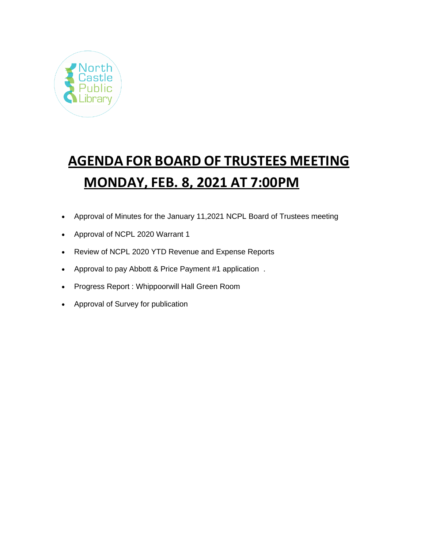

# **AGENDA FOR BOARD OF TRUSTEES MEETING MONDAY, FEB. 8, 2021 AT 7:00PM**

- Approval of Minutes for the January 11,2021 NCPL Board of Trustees meeting
- Approval of NCPL 2020 Warrant 1
- Review of NCPL 2020 YTD Revenue and Expense Reports
- Approval to pay Abbott & Price Payment #1 application .
- Progress Report : Whippoorwill Hall Green Room
- Approval of Survey for publication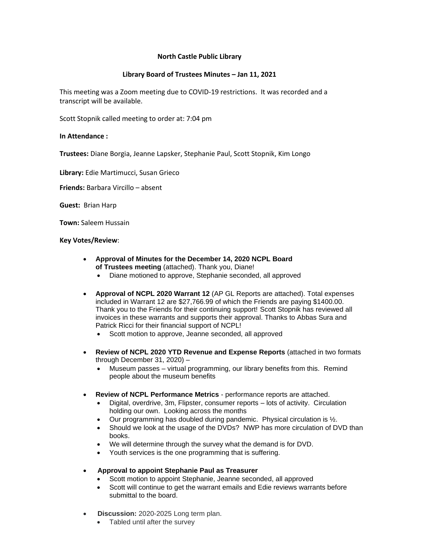## **North Castle Public Library**

## **Library Board of Trustees Minutes – Jan 11, 2021**

This meeting was a Zoom meeting due to COVID-19 restrictions. It was recorded and a transcript will be available.

Scott Stopnik called meeting to order at: 7:04 pm

#### **In Attendance :**

**Trustees:** Diane Borgia, Jeanne Lapsker, Stephanie Paul, Scott Stopnik, Kim Longo

**Library:** Edie Martimucci, Susan Grieco

**Friends:** Barbara Vircillo – absent

**Guest:** Brian Harp

**Town:** Saleem Hussain

#### **Key Votes/Review**:

- **Approval of Minutes for the December 14, 2020 NCPL Board of Trustees meeting** (attached). Thank you, Diane!
	- Diane motioned to approve, Stephanie seconded, all approved
- **Approval of NCPL 2020 Warrant 12** (AP GL Reports are attached). Total expenses included in Warrant 12 are \$27,766.99 of which the Friends are paying \$1400.00. Thank you to the Friends for their continuing support! Scott Stopnik has reviewed all invoices in these warrants and supports their approval. Thanks to Abbas Sura and Patrick Ricci for their financial support of NCPL!
	- Scott motion to approve, Jeanne seconded, all approved
- **Review of NCPL 2020 YTD Revenue and Expense Reports** (attached in two formats through December 31, 2020) –
	- Museum passes virtual programming, our library benefits from this. Remind people about the museum benefits
- **Review of NCPL Performance Metrics** performance reports are attached.
	- Digital, overdrive, 3m, Flipster, consumer reports lots of activity. Circulation holding our own. Looking across the months
	- Our programming has doubled during pandemic. Physical circulation is ½.
	- Should we look at the usage of the DVDs? NWP has more circulation of DVD than books.
	- We will determine through the survey what the demand is for DVD.
	- Youth services is the one programming that is suffering.
- **Approval to appoint Stephanie Paul as Treasurer**
	- Scott motion to appoint Stephanie, Jeanne seconded, all approved
	- Scott will continue to get the warrant emails and Edie reviews warrants before submittal to the board.
- **Discussion:** 2020-2025 Long term plan.
	- Tabled until after the survey